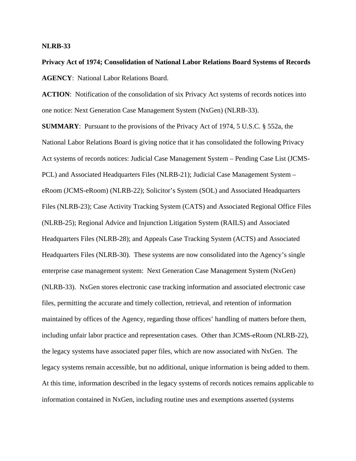## **NLRB-33**

**Privacy Act of 1974; Consolidation of National Labor Relations Board Systems of Records AGENCY**: National Labor Relations Board.

**ACTION**: Notification of the consolidation of six Privacy Act systems of records notices into one notice: Next Generation Case Management System (NxGen) (NLRB-33).

**SUMMARY**: Pursuant to the provisions of the Privacy Act of 1974, 5 U.S.C. § 552a, the National Labor Relations Board is giving notice that it has consolidated the following Privacy Act systems of records notices: Judicial Case Management System – Pending Case List (JCMS-PCL) and Associated Headquarters Files (NLRB-21); Judicial Case Management System – eRoom (JCMS-eRoom) (NLRB-22); Solicitor's System (SOL) and Associated Headquarters Files (NLRB-23); Case Activity Tracking System (CATS) and Associated Regional Office Files (NLRB-25); Regional Advice and Injunction Litigation System (RAILS) and Associated Headquarters Files (NLRB-28); and Appeals Case Tracking System (ACTS) and Associated Headquarters Files (NLRB-30). These systems are now consolidated into the Agency's single enterprise case management system: Next Generation Case Management System (NxGen) (NLRB-33). NxGen stores electronic case tracking information and associated electronic case files, permitting the accurate and timely collection, retrieval, and retention of information maintained by offices of the Agency, regarding those offices' handling of matters before them, including unfair labor practice and representation cases. Other than JCMS-eRoom (NLRB-22), the legacy systems have associated paper files, which are now associated with NxGen. The legacy systems remain accessible, but no additional, unique information is being added to them. At this time, information described in the legacy systems of records notices remains applicable to information contained in NxGen, including routine uses and exemptions asserted (systems